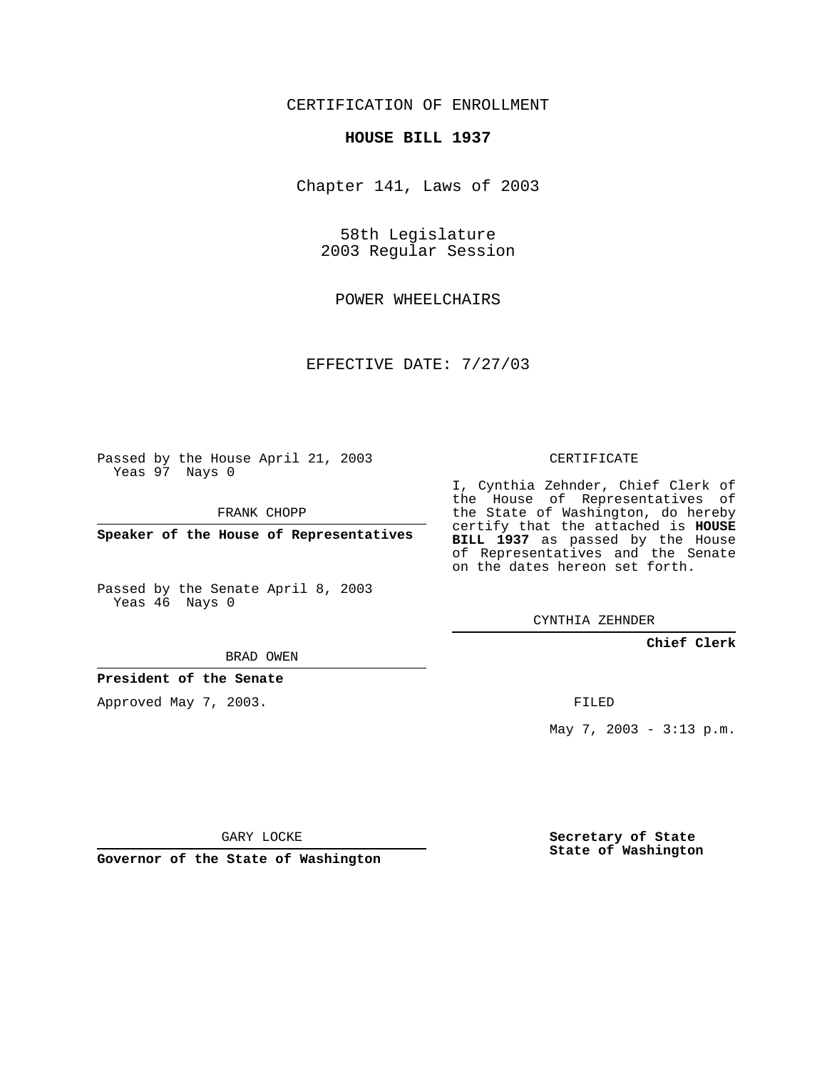CERTIFICATION OF ENROLLMENT

## **HOUSE BILL 1937**

Chapter 141, Laws of 2003

58th Legislature 2003 Regular Session

POWER WHEELCHAIRS

EFFECTIVE DATE: 7/27/03

Passed by the House April 21, 2003 Yeas 97 Nays 0

FRANK CHOPP

**Speaker of the House of Representatives**

Passed by the Senate April 8, 2003 Yeas 46 Nays 0

BRAD OWEN

**President of the Senate**

Approved May 7, 2003.

CERTIFICATE

I, Cynthia Zehnder, Chief Clerk of the House of Representatives of the State of Washington, do hereby certify that the attached is **HOUSE BILL 1937** as passed by the House of Representatives and the Senate on the dates hereon set forth.

CYNTHIA ZEHNDER

**Chief Clerk**

FILED

May 7, 2003 - 3:13 p.m.

GARY LOCKE

**Governor of the State of Washington**

**Secretary of State State of Washington**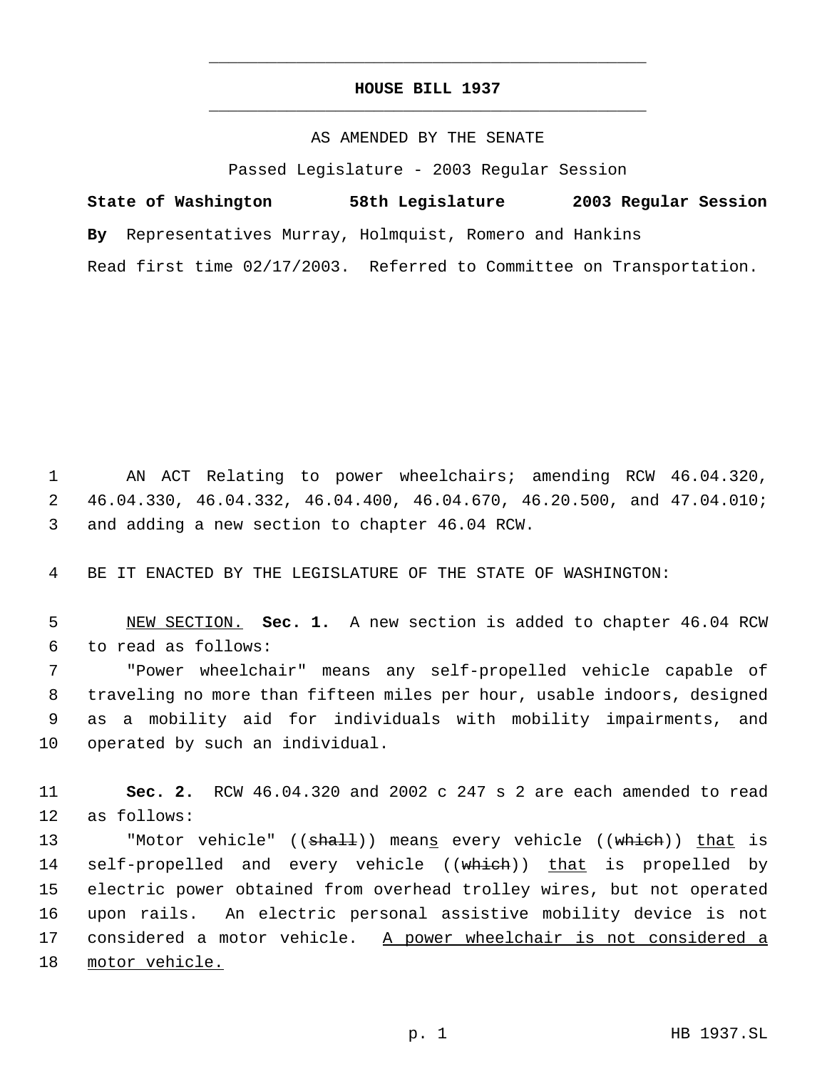## **HOUSE BILL 1937** \_\_\_\_\_\_\_\_\_\_\_\_\_\_\_\_\_\_\_\_\_\_\_\_\_\_\_\_\_\_\_\_\_\_\_\_\_\_\_\_\_\_\_\_\_

\_\_\_\_\_\_\_\_\_\_\_\_\_\_\_\_\_\_\_\_\_\_\_\_\_\_\_\_\_\_\_\_\_\_\_\_\_\_\_\_\_\_\_\_\_

## AS AMENDED BY THE SENATE

Passed Legislature - 2003 Regular Session

**State of Washington 58th Legislature 2003 Regular Session By** Representatives Murray, Holmquist, Romero and Hankins Read first time 02/17/2003. Referred to Committee on Transportation.

 1 AN ACT Relating to power wheelchairs; amending RCW 46.04.320, 2 46.04.330, 46.04.332, 46.04.400, 46.04.670, 46.20.500, and 47.04.010; 3 and adding a new section to chapter 46.04 RCW.

4 BE IT ENACTED BY THE LEGISLATURE OF THE STATE OF WASHINGTON:

 5 NEW SECTION. **Sec. 1.** A new section is added to chapter 46.04 RCW 6 to read as follows:

 "Power wheelchair" means any self-propelled vehicle capable of traveling no more than fifteen miles per hour, usable indoors, designed as a mobility aid for individuals with mobility impairments, and operated by such an individual.

11 **Sec. 2.** RCW 46.04.320 and 2002 c 247 s 2 are each amended to read 12 as follows:

13 "Motor vehicle" ((<del>shall</del>)) mean<u>s</u> every vehicle ((<del>which</del>)) <u>that</u> is 14 self-propelled and every vehicle ((which)) that is propelled by 15 electric power obtained from overhead trolley wires, but not operated 16 upon rails. An electric personal assistive mobility device is not 17 considered a motor vehicle. A power wheelchair is not considered a 18 motor vehicle.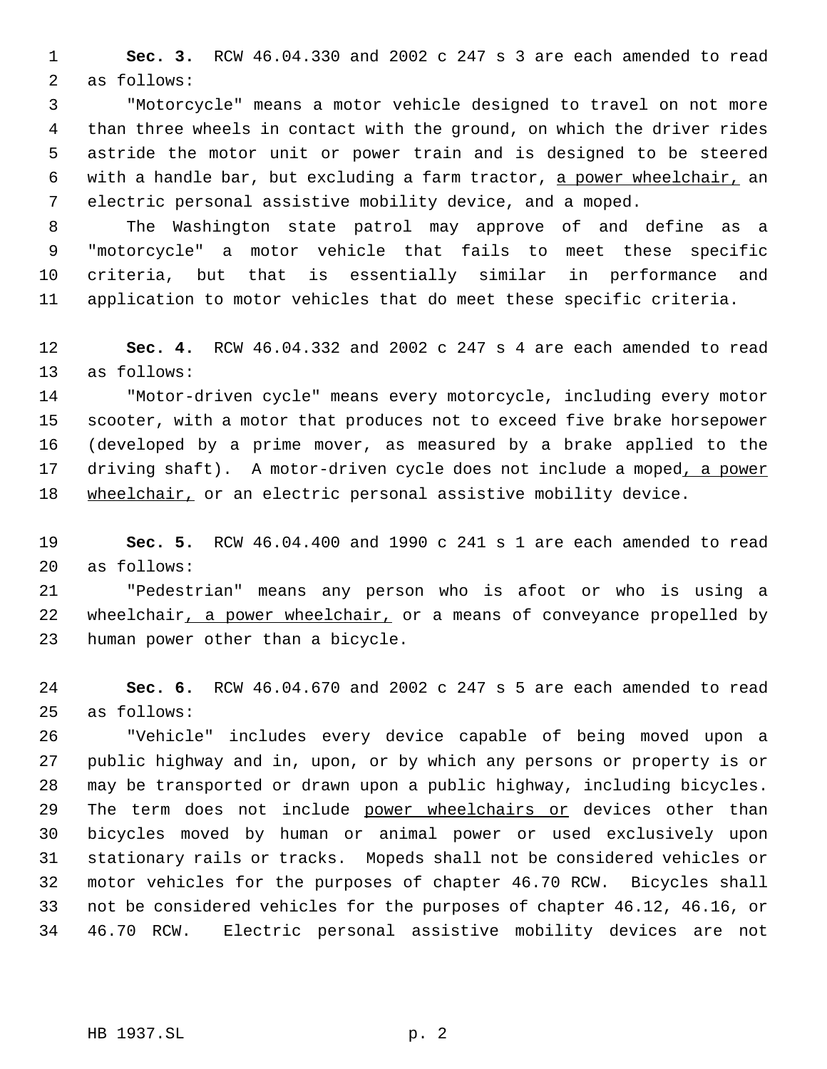**Sec. 3.** RCW 46.04.330 and 2002 c 247 s 3 are each amended to read as follows:

 "Motorcycle" means a motor vehicle designed to travel on not more than three wheels in contact with the ground, on which the driver rides astride the motor unit or power train and is designed to be steered with a handle bar, but excluding a farm tractor, a power wheelchair, an electric personal assistive mobility device, and a moped.

 The Washington state patrol may approve of and define as a "motorcycle" a motor vehicle that fails to meet these specific criteria, but that is essentially similar in performance and application to motor vehicles that do meet these specific criteria.

 **Sec. 4.** RCW 46.04.332 and 2002 c 247 s 4 are each amended to read as follows:

 "Motor-driven cycle" means every motorcycle, including every motor scooter, with a motor that produces not to exceed five brake horsepower (developed by a prime mover, as measured by a brake applied to the 17 driving shaft). A motor-driven cycle does not include a moped, a power 18 wheelchair, or an electric personal assistive mobility device.

 **Sec. 5.** RCW 46.04.400 and 1990 c 241 s 1 are each amended to read as follows:

 "Pedestrian" means any person who is afoot or who is using a 22 wheelchair, a power wheelchair, or a means of conveyance propelled by human power other than a bicycle.

 **Sec. 6.** RCW 46.04.670 and 2002 c 247 s 5 are each amended to read as follows:

 "Vehicle" includes every device capable of being moved upon a public highway and in, upon, or by which any persons or property is or may be transported or drawn upon a public highway, including bicycles. 29 The term does not include power wheelchairs or devices other than bicycles moved by human or animal power or used exclusively upon stationary rails or tracks. Mopeds shall not be considered vehicles or motor vehicles for the purposes of chapter 46.70 RCW. Bicycles shall not be considered vehicles for the purposes of chapter 46.12, 46.16, or 46.70 RCW. Electric personal assistive mobility devices are not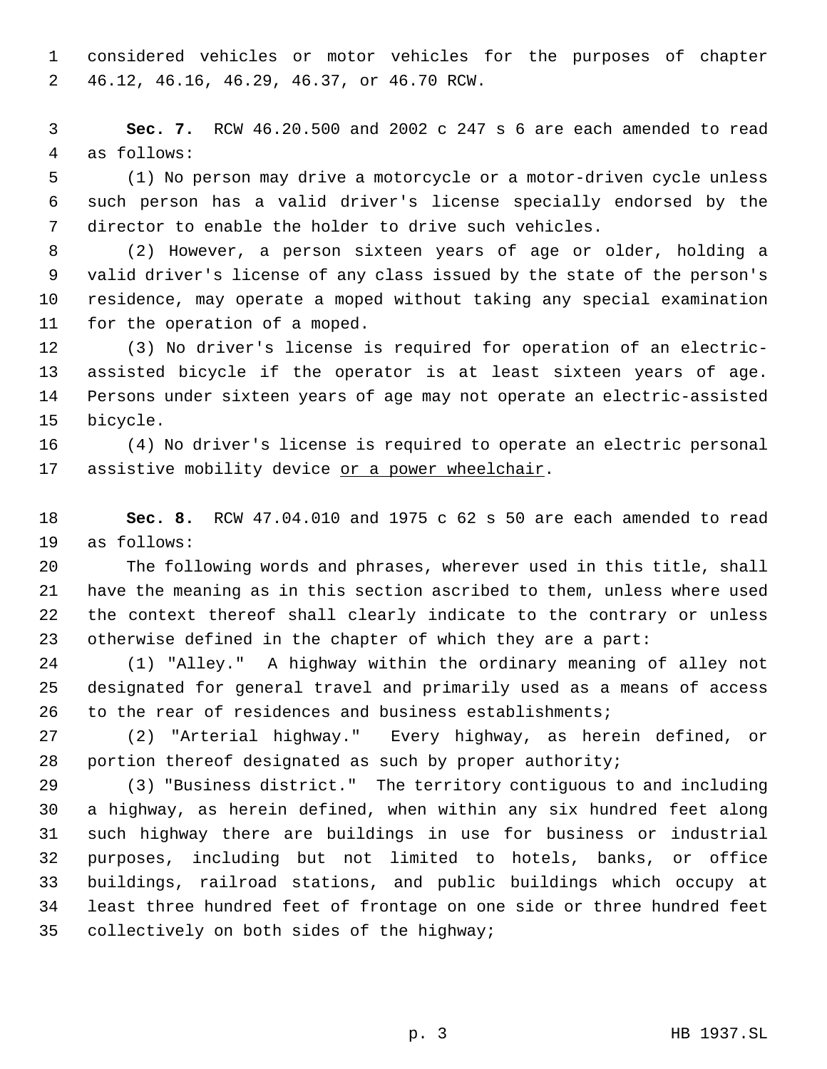considered vehicles or motor vehicles for the purposes of chapter 46.12, 46.16, 46.29, 46.37, or 46.70 RCW.

 **Sec. 7.** RCW 46.20.500 and 2002 c 247 s 6 are each amended to read as follows:

 (1) No person may drive a motorcycle or a motor-driven cycle unless such person has a valid driver's license specially endorsed by the director to enable the holder to drive such vehicles.

 (2) However, a person sixteen years of age or older, holding a valid driver's license of any class issued by the state of the person's residence, may operate a moped without taking any special examination for the operation of a moped.

 (3) No driver's license is required for operation of an electric- assisted bicycle if the operator is at least sixteen years of age. Persons under sixteen years of age may not operate an electric-assisted bicycle.

 (4) No driver's license is required to operate an electric personal 17 assistive mobility device or a power wheelchair.

 **Sec. 8.** RCW 47.04.010 and 1975 c 62 s 50 are each amended to read as follows:

 The following words and phrases, wherever used in this title, shall have the meaning as in this section ascribed to them, unless where used the context thereof shall clearly indicate to the contrary or unless otherwise defined in the chapter of which they are a part:

 (1) "Alley." A highway within the ordinary meaning of alley not designated for general travel and primarily used as a means of access to the rear of residences and business establishments;

 (2) "Arterial highway." Every highway, as herein defined, or portion thereof designated as such by proper authority;

 (3) "Business district." The territory contiguous to and including a highway, as herein defined, when within any six hundred feet along such highway there are buildings in use for business or industrial purposes, including but not limited to hotels, banks, or office buildings, railroad stations, and public buildings which occupy at least three hundred feet of frontage on one side or three hundred feet collectively on both sides of the highway;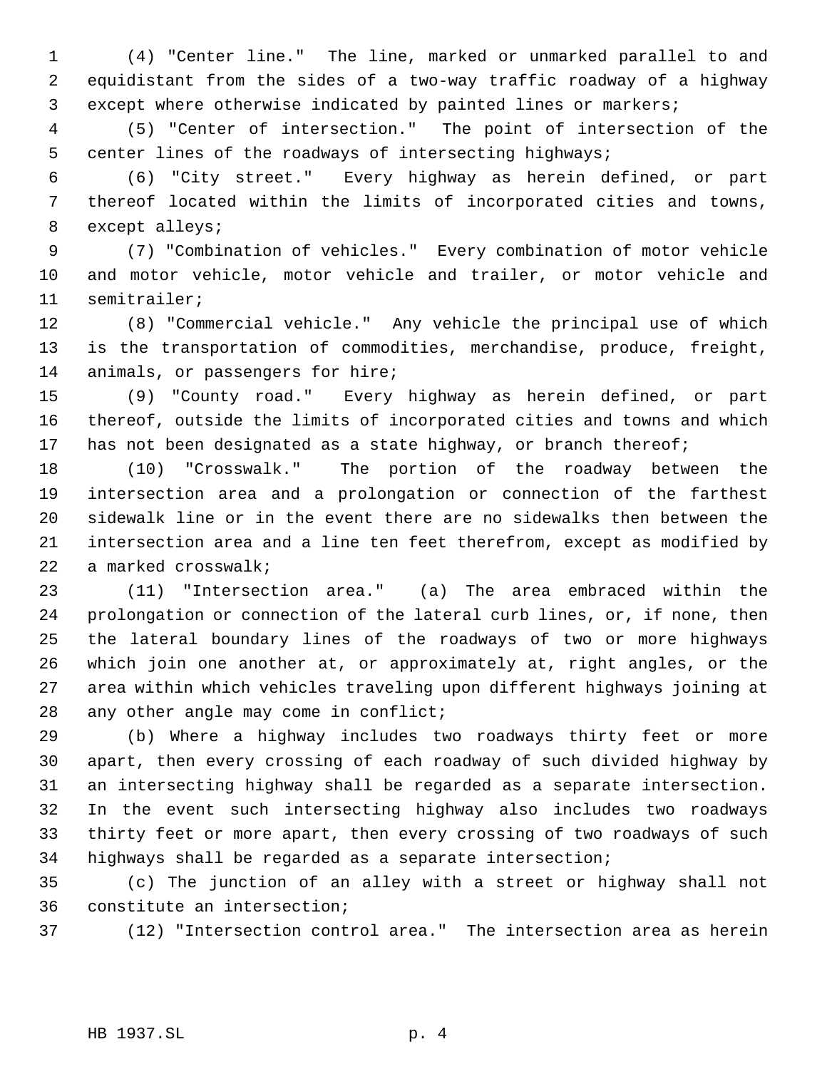(4) "Center line." The line, marked or unmarked parallel to and equidistant from the sides of a two-way traffic roadway of a highway except where otherwise indicated by painted lines or markers;

 (5) "Center of intersection." The point of intersection of the center lines of the roadways of intersecting highways;

 (6) "City street." Every highway as herein defined, or part thereof located within the limits of incorporated cities and towns, except alleys;

 (7) "Combination of vehicles." Every combination of motor vehicle and motor vehicle, motor vehicle and trailer, or motor vehicle and semitrailer;

 (8) "Commercial vehicle." Any vehicle the principal use of which is the transportation of commodities, merchandise, produce, freight, animals, or passengers for hire;

 (9) "County road." Every highway as herein defined, or part thereof, outside the limits of incorporated cities and towns and which 17 has not been designated as a state highway, or branch thereof;

 (10) "Crosswalk." The portion of the roadway between the intersection area and a prolongation or connection of the farthest sidewalk line or in the event there are no sidewalks then between the intersection area and a line ten feet therefrom, except as modified by a marked crosswalk;

 (11) "Intersection area." (a) The area embraced within the prolongation or connection of the lateral curb lines, or, if none, then the lateral boundary lines of the roadways of two or more highways which join one another at, or approximately at, right angles, or the area within which vehicles traveling upon different highways joining at 28 any other angle may come in conflict;

 (b) Where a highway includes two roadways thirty feet or more apart, then every crossing of each roadway of such divided highway by an intersecting highway shall be regarded as a separate intersection. In the event such intersecting highway also includes two roadways thirty feet or more apart, then every crossing of two roadways of such highways shall be regarded as a separate intersection;

 (c) The junction of an alley with a street or highway shall not constitute an intersection;

(12) "Intersection control area." The intersection area as herein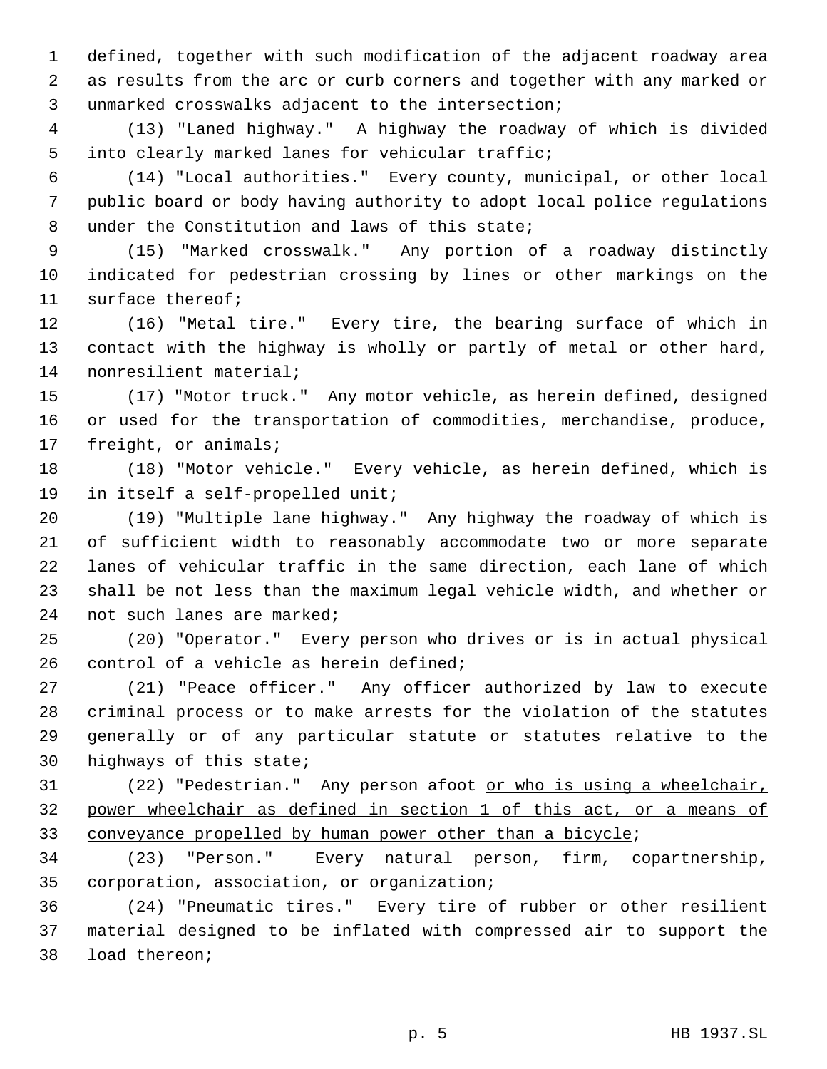defined, together with such modification of the adjacent roadway area as results from the arc or curb corners and together with any marked or unmarked crosswalks adjacent to the intersection;

 (13) "Laned highway." A highway the roadway of which is divided into clearly marked lanes for vehicular traffic;

 (14) "Local authorities." Every county, municipal, or other local public board or body having authority to adopt local police regulations under the Constitution and laws of this state;

 (15) "Marked crosswalk." Any portion of a roadway distinctly indicated for pedestrian crossing by lines or other markings on the surface thereof;

 (16) "Metal tire." Every tire, the bearing surface of which in contact with the highway is wholly or partly of metal or other hard, nonresilient material;

 (17) "Motor truck." Any motor vehicle, as herein defined, designed or used for the transportation of commodities, merchandise, produce, freight, or animals;

 (18) "Motor vehicle." Every vehicle, as herein defined, which is in itself a self-propelled unit;

 (19) "Multiple lane highway." Any highway the roadway of which is of sufficient width to reasonably accommodate two or more separate lanes of vehicular traffic in the same direction, each lane of which shall be not less than the maximum legal vehicle width, and whether or not such lanes are marked;

 (20) "Operator." Every person who drives or is in actual physical 26 control of a vehicle as herein defined;

 (21) "Peace officer." Any officer authorized by law to execute criminal process or to make arrests for the violation of the statutes generally or of any particular statute or statutes relative to the highways of this state;

 (22) "Pedestrian." Any person afoot or who is using a wheelchair, power wheelchair as defined in section 1 of this act, or a means of 33 conveyance propelled by human power other than a bicycle;

 (23) "Person." Every natural person, firm, copartnership, corporation, association, or organization;

 (24) "Pneumatic tires." Every tire of rubber or other resilient material designed to be inflated with compressed air to support the load thereon;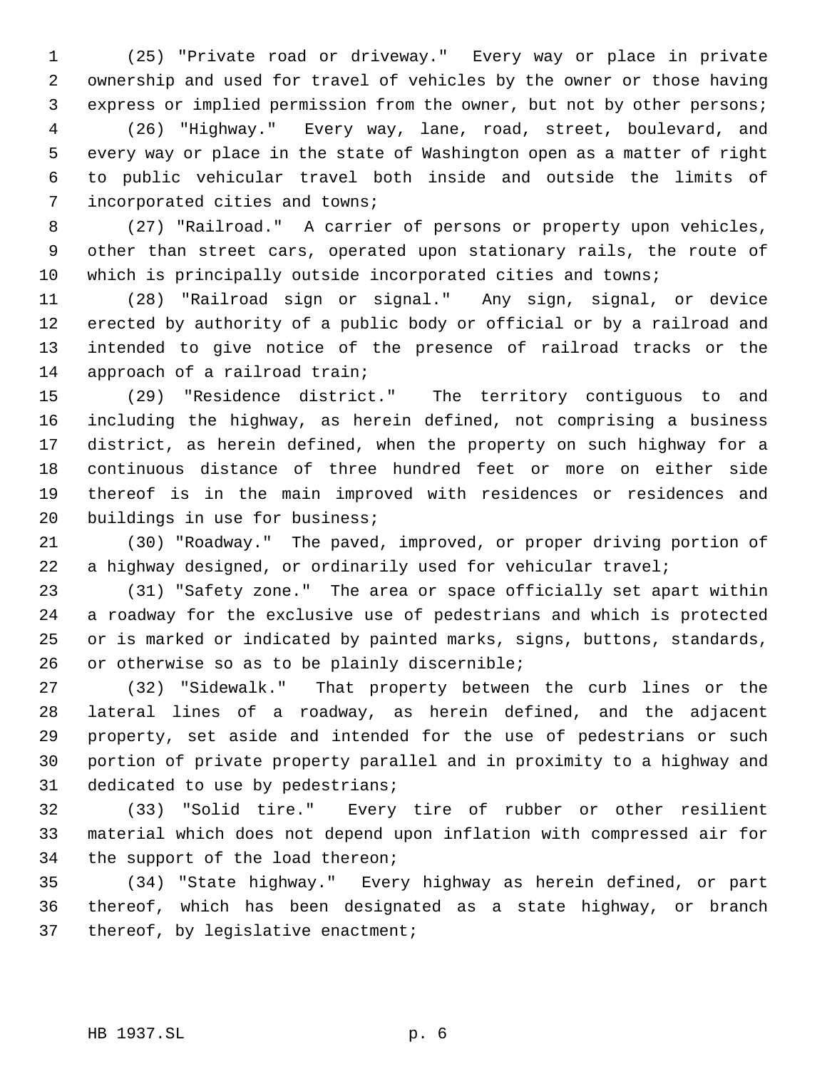(25) "Private road or driveway." Every way or place in private ownership and used for travel of vehicles by the owner or those having express or implied permission from the owner, but not by other persons; (26) "Highway." Every way, lane, road, street, boulevard, and every way or place in the state of Washington open as a matter of right to public vehicular travel both inside and outside the limits of incorporated cities and towns;

 (27) "Railroad." A carrier of persons or property upon vehicles, other than street cars, operated upon stationary rails, the route of which is principally outside incorporated cities and towns;

 (28) "Railroad sign or signal." Any sign, signal, or device erected by authority of a public body or official or by a railroad and intended to give notice of the presence of railroad tracks or the approach of a railroad train;

 (29) "Residence district." The territory contiguous to and including the highway, as herein defined, not comprising a business district, as herein defined, when the property on such highway for a continuous distance of three hundred feet or more on either side thereof is in the main improved with residences or residences and buildings in use for business;

 (30) "Roadway." The paved, improved, or proper driving portion of a highway designed, or ordinarily used for vehicular travel;

 (31) "Safety zone." The area or space officially set apart within a roadway for the exclusive use of pedestrians and which is protected or is marked or indicated by painted marks, signs, buttons, standards, or otherwise so as to be plainly discernible;

 (32) "Sidewalk." That property between the curb lines or the lateral lines of a roadway, as herein defined, and the adjacent property, set aside and intended for the use of pedestrians or such portion of private property parallel and in proximity to a highway and dedicated to use by pedestrians;

 (33) "Solid tire." Every tire of rubber or other resilient material which does not depend upon inflation with compressed air for the support of the load thereon;

 (34) "State highway." Every highway as herein defined, or part thereof, which has been designated as a state highway, or branch thereof, by legislative enactment;